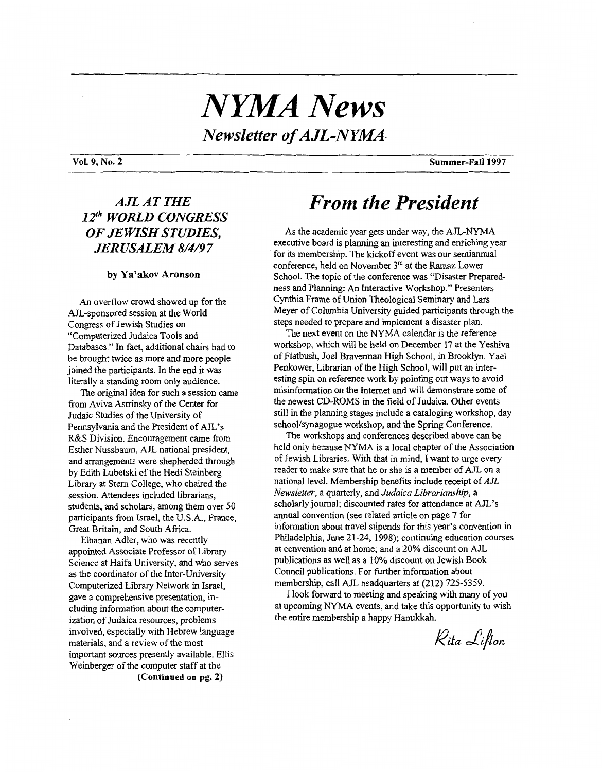# *NYMA News Newsletter of AJL-NMMA-*

### *AJL AT THE 12" WORLD CONGRESS OF JEWISH STUDIES, JERUSALEM 8/4/9* **7**

### **by Ya'akov Aronson**

*An* overflow crowd showed up for the AJL-sponsored session at the World Congress of Jewish Studies on "Computerized Judaica Tools and Databases." In fact, additional chairs had to be brought twice as more and more people joined the participants. In the end it was literally a standing room only audience.

from Aviva Astrinsky of the Center for Judaic Studies of the University of Pennsylvania and the President of AJL's **R&S** Division. Encouragement came from Esther Nussbaum, AJL national president, and arrangements were shepherded through by Edith Lubetski of the Hedi Steinberg Library at Stem College, who chaired the session. Attendees included librarians, students, and scholars, among them over 50 participants from Israel, the U.S.A., France, Great Britain, and South Africa. The original idea for such a session came

Elhanan Adler, who was recently appointed Associate Professor of Library Science at Haifa University, and who serves **as** the coordinator of the Inter-University Computerized **Library** Network in Israel, gave a comprehensive presentation, including information about the computerization of Judaica resources, problems involved, especially with Hebrew language materials, and a review of the most important sources presently available. Ellis Weinberger of the computer staff at the **(Continued on pg. 2)** 

## *From the President*

As the academic year gets under way, the AJL-NYMA executive board is planning an interesting and enriching year for its membership. The kickoff event was our semiannual conference, held on November **31d** at the Ramaz Lower School. The topic of the conference **was** "Disaster Preparedness and Planning: *An* Interactive Workshop." Presenters Cynthia Frame of Union Theological Seminary and Lars Meyer of Columbia University guided participants through the steps needed to prepare and implement a disaster plan.

The next event on the NYMA calendar is the reference workshop, which will be held on December 17 at the Yeshiva of Flatbush, Joel Braverman **High** School, in Brooklyn. Yael Penkower, Librarian of the High School, will put an interesting spin on reference work by pointing out ways to avoid misinformation on the Internet and will demonstrate some of the newest CD-ROMs in the field of Judaica. Other events still in the planning stages include a cataloging workshop, day school/synagogue workshop, and the Spring Conference.

The workshops and conferences described above can be held only because NYMA is a local chapter of the Association of Jewish Libraries. With that in mind, I want to urge every reader to make sure that he or she is a member of AJL on a national level. Membership benefits include receipt of *AJL Newsletter,* a quarterly, and *Judaica Librarianship,* a scholarly journal; discounted rates for attendance at AJL's annual convention (see related article on page 7 for information about travel stipends for this year's convention in Philadelphia, June 2 **1-24, 1998);** continuing education courses at convention and at home; and a 20% discount on AJL publications as well as a 10% discount on Jewish Book Council publications. For further information about membership, call AJL headquarters at (212) 725-5359.

at upcoming NYMA events, and take this opportunity to wish the entire membership a happy Hanukkah. I look forward to meeting and speaking with many of you

Rita Lifton

**Vol. 9, No. 2 Summer-Fall 1997**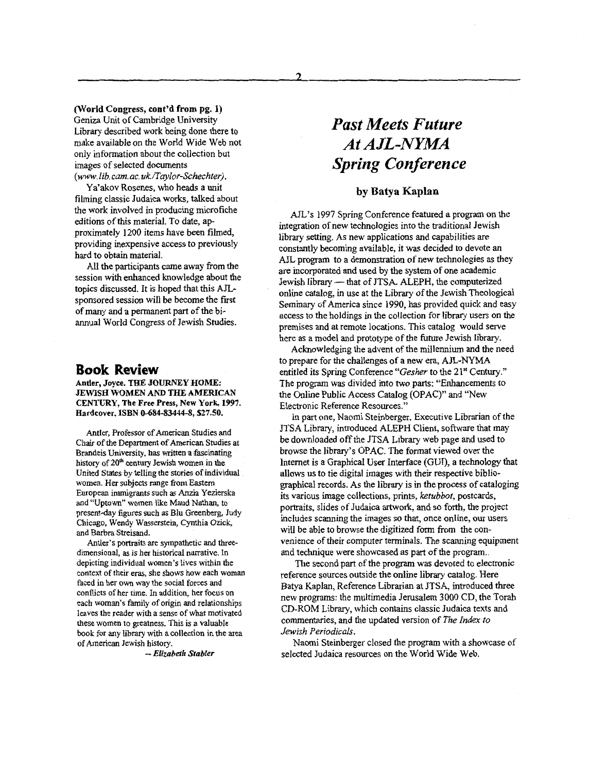### **(World Congress, cont'd from pg. 1)**

Geniza Unit of Cambridge University Library described work being done there to make available on the World Wide Web not only information about the collection but images of selected documents *(www. lib. cam. ac. uk/Tcylor-Schechter).* 

Ya'akov Rosenes, who heads a unit filming classic Judaica works, talked about the work involved in producing microfiche editions of this material. To date, approximately 1200 items have been filmed, providing inexpensive access to previously hard to obtain material.

All the participants came away from the session with enhanced knowledge about the topics discussed. It is hoped that this **AJL**sponsored session will be become the frst of many and a permanent part of the biannual World Congress of Jewish Studies.

### **Book Review**

Antler, **Joyce.** THE **30URNEY HOME: JEWISH WOMEN AND** THE **AMERICAN CENTURY, The Free Press, New York, 1997.**  Hardcover, **ISBN 0-684-83444-8, \$27.50.** 

Antler, Professor of American Studies and Chair of the Department of American Studies at Brandeis University, **has** written a fascinating history of **20m ceutury** Jewish women in the United States by telling the stories of individual women. Her subjects range from Eastern European immigrants such **as** Anzia Yezierska and **YJptown"** women **like** Maud Nathan, to present-day **figures** such **as** Blu Greenberg, Judy Chicago, Wendy Wasserstein, Cynthia Ozick, and Barbra Streisand.

dimensional, **as** is her historical narrative. In depicting individual women's lives within the context of their eras, she shows how each woman faced in her own way the social forces and conflicts of her time. In addition, her **focus** on each woman's family of origin and relationships leaves the reader with a sense of what motivated these women to greatness. This is a valuable book for any library with a collection in the **area**  of American Jewish history. Antler's portraits are sympathetic and three-

*-Elizabeth Stabler* 

## *Past Meets Future At AJL-NYMA Spring Conference*

### **by Batya Kaplan**

AJL's 1997 Spring Conference featured **a** program on the integration of new technologies into the traditional Jewish library setting. As new applications and capabilities are constantly becoming available, it was decided to devote an AJL program to a demonstration of new technologies as they are incorporated and used by the system of one academic AJL program to a demonstration of new technologies as the are incorporated and used by the system of one academic<br>Jewish library — that of JTSA. ALEPH, the computerized online *catalog,* in use at the Library of the Jewish Theological Seminary of America since 1990, has provided quick and easy access to the holdings in the collection for library users on the premises and at remote locations. This catalog would serve here as a model **and** prototype **of** the future Jewish library.

to prepare for the challenges of a new era, AJL-NYMA entitled its Spring Conference *"Gesher* to the 2 **1"** Century." The program was divided into two parts: "Enhancements to the Online Public Access Catalog (OPAC)" and "New Electronic Reference Resources." Acknowledging the advent of the millennium and the need

JTSA Library, introduced ALEPH Client, software that may be downloaded off the JTSA Library web page **and** used to browse the library's OPAC. The format viewed over the Internet is a Graphical User Interface (GUI), a technology that allows us to tie digital images with their respective bibliographical records. As the library is in the process of cataloging **its** various image collections, **prints,** *ketubboi,* postcards, portraits, slides of Judaica artwork, and so forth, the project includes scanning the images so that, once online, our users will be able to browse the digitized form **from** the convenience of their computer terminals. The scanning equipment and technique were showcased as part of the program.. **In** part one, Naomi Steinberger, Executive Librarian of the

The second part of the program was devoted to electronic reference sources outside the online library catalog. Here Batya Kaplan, Reference Librarian at JTSA, introduced three new programs: the multimedia Jerusalem 3000 CD, the Torah CD-ROM Library, which contains classic Judaica texts and commentaries, and the updated version of *The Index to Jewish Periodicals.* 

selected Judaica resources on the World Wide Web. Naomi Steinberger closed the program with a showcase of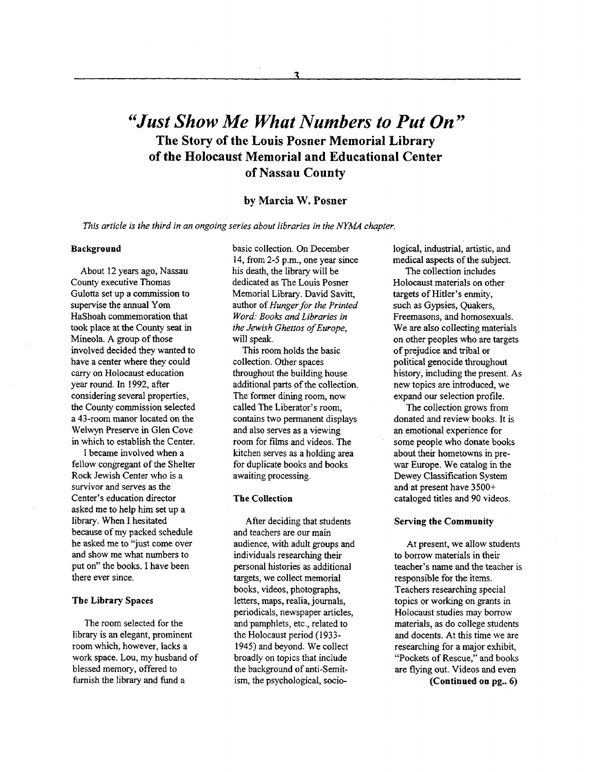### *"Just Show Me What Numbers to Put On"*  **The Story of the Louis Posner Memorial Library of the Holocaust Memorial and Educational Center of Nassau County**

### **by Marcia W. Posner**

*This article is the third in an ongoing series about libraries in the NYUA chapter,* 

#### Background

About **12** years ago, Nassau County executive Thomas Gulotta set up a commission to supervise the annual Yom HaShoah commemoration that took place at the County seat in Mineola. **A** group of those involved decided they wanted to have a center where they could cany on Holocaust education year round. In 1992, after considering several properties, the County commission selected a 43-room manor located on the Welwyn Preserve in Glen Cove in which to establish the Center.

I became involved when a fellow congregant of the Shelter Rock Jewish Center who is a survivor and serves as the Center's education director asked me to help him set up a library. When I hesitated because of my packed schedule he asked me to "just come over and show me what numbers to put on'' the books. I have been there ever since.

#### **The** Library **Spaces**

The room selected for the library is an elegant, prominent **room** which, however, lacks a work space. Lou, my husband of blessed memory, offered to furnish the library and fund a

basic collection. *On* December 14, from 2-5 p.m., one year since his death, the library will be dedicated **as** The Louis Posner Memorial Library. David Savitt, author of *Hunger for the Printed Word: Books and Libraries in the Jewish Ghettos of Europe,*  will **speak.** 

This room holds the basic collection. Other spaces throughout the building house additional parts of the collection. The former dining room, now called The Liberator's room, contains two permanent displays and also serves **as** a viewing room for films and videos. The kitchen serves as a holding area for duplicate books and books awaiting processing.

#### **The Collection**

After deciding that students and teachers are our main audience, with adult groups and individuals researching their personal histories **as** additional targets, we collect memorial books, videos, photographs, letters, maps, realia, journals, periodicals, newspaper articles, and pamphlets, etc., related to the Holocaust period (1933-1945) and beyond. We collect broadly on topics that include the background of anti-Semitism, the psychological, sociological, industrial, artistic, and medical aspects of the subject.

The collection includes Holocaust materials on other targets of Hitler's enmity, such as Gypsies, Quakers, Freemasons, and homosexuals. We are also collecting materials on other peoples who are targets of prejudice **and** tribal or political genocide throughout history, including the present. As new topics are introduced, we expand our selection profile.

The collection grows from donated and review books. It is an emotional experience for some people who donate books about their hometowns in prewar Europe. We catalog in the Dewey Classification System and at present have **3500+**  cataloged titles and 90 videos.

#### Serving the **Community**

At present, we allow students to borrow materials in their teacher's name and the teacher is responsible for the items. Teachers researching special topics or working on grants in Holocaust studies may borrow materials, as do college students and docents. At this time we are researching for a major exhibit, "Pockets of Rescue," and books are flying out. Videos and even

(Continued **on pg..** *6)*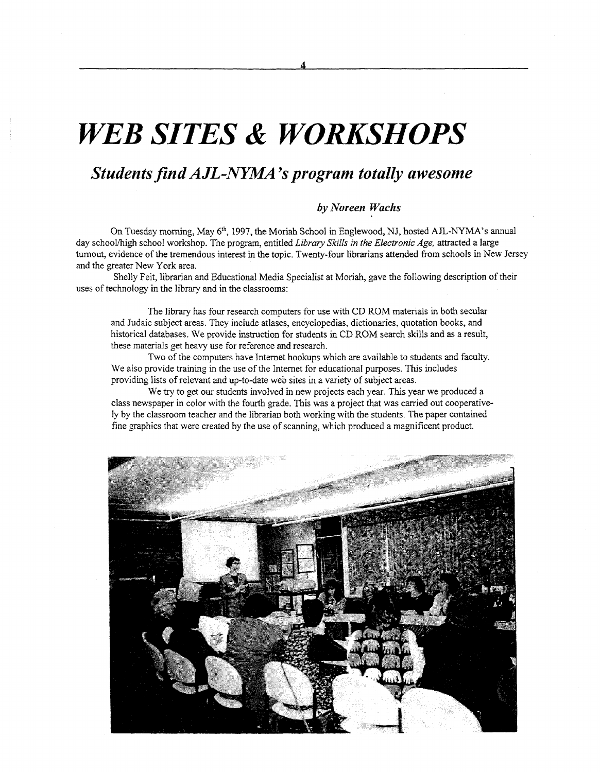# **WEB SITES & WORKSHOPS**

### *Studentsfifid AJL-NYMA 's program totally awesome*

### *by Noreen Wachs*

On Tuesday morning, May **6th,** 1997, the Moriah School in Englewood, NJ, hosted **AJL-NYMA's** annual day school/high school workshop. The program, entitled *Library Skills in the Electronic Age*, attracted a large turnout, evidence of the tremendous interest in the topic. Twenty-four librarians attended from schools in New Jersey and the greater New York area.

uses of technology in the library **and** in the classrooms: Shelly Feit, librarian and Educational Media Specialist at Moriah, gave the following description of their

The library has four research computers for use **with** CD ROM materials **in** both secular and Judaic subject areas. They include atlases, encyclopedias, dictionaries, quotation books, and historical databases. We provide instruction for students in CD ROM search skills **and as** a result, these materials get heavy use for reference **and** research.

Two of the computers have Internet hookups which are available to students and faculty. We also provide training in the use of the Internet for educational purposes. This includes providing lists of relevant and up-to-date weo sites in **a** variety of subject areas.

We **try** to get our students involved in new projects each year. This year we produced a class newspaper in color with the fourth grade. This was a project that was carried out cooperatively by the classroom teacher and the librarian both working with the students. The paper contained fine graphics that were created by the use of scanning, which produced a magnificent product.

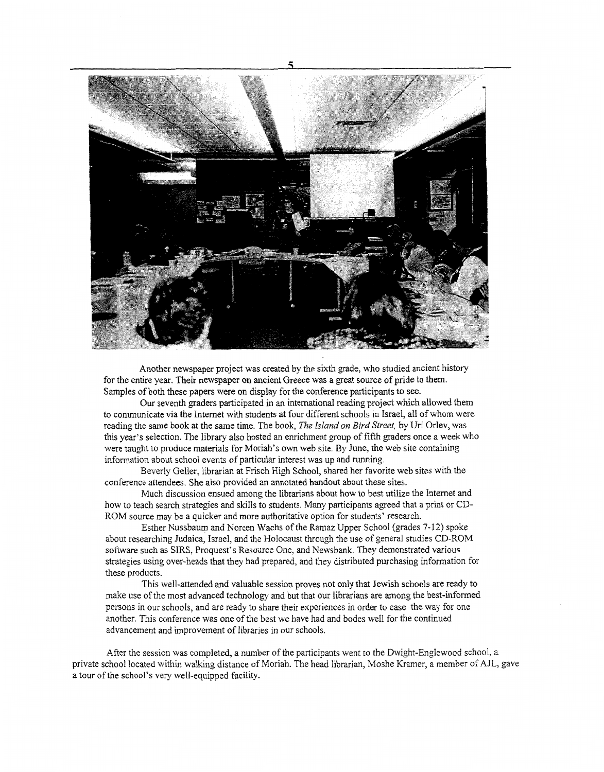

Another newspaper project was created by the sixth grade, who studied ancient history for the entire year. Their newspaper on ancient Greece was a great source of pride to them. Samples of both these papers were on display for the conference participants to see.

Our seventh graders participated in an international reading project which allowed them to communicate via the Internet with students at four different schools in Israel, all of whom were reading the same book at the same time. The book, *The island on Bird Stree?,* by Uri Orlev, was this year's selection. The library also hosted an enrichment group of fifth graders once a week who were taught to produce materials for Moriah's own web site. By June, the web site containing information about school events of particular interest was up and running.

Beverly Geller, librarian at Frisch High School, shared her favorite web sites with the conference attendees. She also provided **an** annotated handout about these sites.

Much discussion ensued among the librarians about how to best utiiize the Internet and how to teach search strategies and skills to students. Many participants agreed that a print or CD-ROM source may be a quicker and more authoritative option for students' research.

about researching Judaica, Israel, and the Holocaust through the use of general studies CD-ROM software such as SIRS, Proquest's Resource One, and Newsbank. They demonstrated various strategies using over-heads that they had prepared, and they distributed purchasing information for these products. Esther Nussbaum and Noreen Wachs of the Ramaz Upper School (grades 7-12) spoke

This well-attended and valuable session proves not only that Jewish schools are ready to make use of the most advanced technology and but that our librarians are among the best-informed persons in our schools, and are ready to share their experiences in order to ease the way for one another. This conference was one of the best we have had and bodes well for the continued advancement and improvement of libraries in our schools.

After the session was completed, **a** number of the participants went to the Dwight-Englewood school, **a**  private school located within walking distance of Moriah. The head librarian, Moshe Kramer, a member of AJL, gave a tour of the school's very well-equipped facility.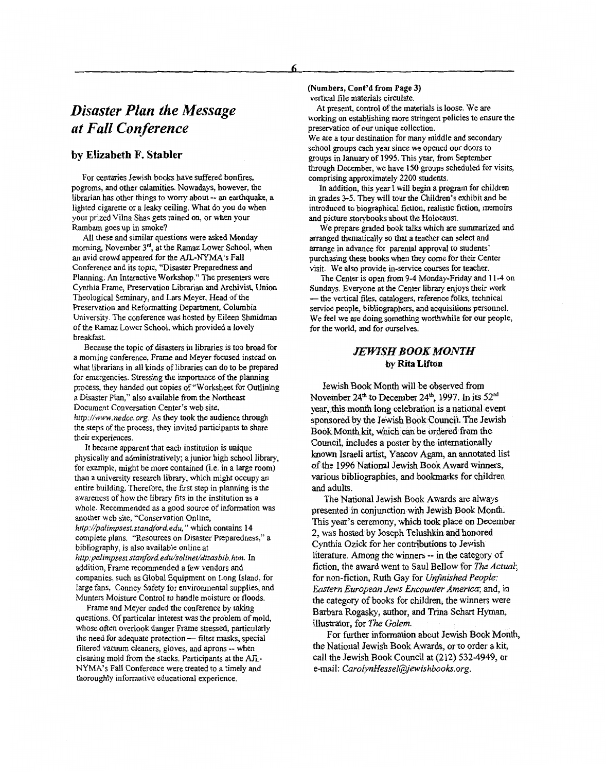### **by Elizabeth F. Stabler**

For centuries Jewish books have suffered bonfires, pogroms, and other calamities. Nowadays, however, the librarian has other things to worry about -- an earthquake, a lighted cigarette or a leaky ceiling. What do you do when your prized Vilna Shas gets rained on, or when your Rambam goes up in smoke?

All these and similar questions were asked Monday morning, November 3<sup>rd</sup>, at the Ramaz Lower School, when an avid crowd appeared for the AJL-NYMA's Fall Conference and its topic, "Disaster Preparedness and Planning: *An* Interactive Workshop." The presenters were Cynthia Frame, Preservation Librarian and Archivist, Union Theological Seminary, and Lars Meyer, Head of the Preservation and Reformatting Department, Columbia University. The conference was hosted by Eileen Shmidman of the Ramaz Lower School, which provided a lovely breakfast.

Because the topic of disasters in libraries is too broad for a morning conference, Frame and Meyer focused instead on what librarians in all kinds of libraries can do to be prepared for emergencies. Stressing the importance of the planning process, they handed out copies of "Worksheet for Outlining a Disaster Plan," also available ffom the Northeast Document Conversation Center's web site, http://www.nedcc.org. As they took the audience through the steps of the process, they invited participants to share their experiences.

It became apparent that each institution is unique physically and administratively; a junior high school library, for example, might be more contained (i.e. in a large room) than a university research library, which might occupy an entire building. Therefore, the first step in planning is the awareness of how the library fits in the institution as a whole. Recommended **as** a good source of information was another web site, "Conservation Online, *http://palirnpsest.standford.edu,* " which contains **<sup>14</sup>** complete plans. "Resources on Disaster Preparedness," a bibliography, is also available online at *http:palimpsest,stanford. edw'solineUdisasbib. htm.* In addition, Frame recommended a few vendors and companies, such **as** Global Equipment on Long Island, for large fans, Conney Safety for environmental supplies, and Munters Moisture Control to handle moisture or floods.

Frame and Meyer ended the conference by taking questions. Of particular interest was the problem of mold, whose often overlook danger Frame stressed, particularly questions. Of particular interest was the problem of mole<br>whose often overlook danger Frame stressed, particularly<br>the need for adequate protection --- filter masks, special<br>filtered you've along a share and appear. filtered vacuum cleaners, gloves, and aprons -- when cleaning mold ffom the stacks. Participants at the AJL-NYh4A's Fall Conference were treated to a timely and thoroughly informative educational experience.

### **(Numbers, Cont'd from Page 3)**

vertical file materials circulate.

working on establishing more stringent policies to ensure the preservation of our unique collection. We are a tour destination for many middle and secondary At present, control of the materials is loose. We are

school groups each year since we opened our doors to groups in January of **1995.** This year, from September through December, we have 150 groups scheduled for visits, comprising approximately 2200 students.

In addition, this year I will begin a program for children in grades 3-5. They will tour the Children's exhibit and be introduced to biographical fiction, realistic fiction, memoirs and picture storybooks about the Holocaust.

**We** prepare graded book talks which are summarized and arranged thematically so that a teacher can select and arrange in advance for parental approval to students' purchasing these books when they come for their Center visit. We also provide in-service courses for teacher.

Sundays. Everyone at the Center library enjoys their work -the vertical files, catalogers, reference folks, technical service people, bibliographers, and acquisitions personnel. We feel we are doing something worthwhile for our people, for the world, and for ourselves. The Center is open from 9-4 Monday-Friday and 1 1-4 on

### *JEWISH BOOK MONTH*  **by Rita Lifton**

Jewish Book Month will be observed from November 24<sup>th</sup> to December 24<sup>th</sup>, 1997. In its 52<sup>nd</sup> year, this month long celebration is a national event<br>sponsored by the Jewish Book Council. The Jewish Book Month kit, which can be ordered from the Council, includes a poster by the internationally known Israeli artist, Yaacov Agam, **an** annotated list of the 1996 National Jewish Book Award winners, various bibliographies, and bookmarks for children and adults.

The National Jewish Book Awards are always presented in conjunction with Jewish Book Month. This year's ceremony, which took place on December 2, was hosted by Joseph Telushkin and honored Cynthia Ozick for her contributions to Jewish literature. Among the winners -- in the category of fiction, the award went to Saul Bellow for *The Actual*; for non-fiction, Ruth Gay for *Unfinished People: Eastern European Jews Encounter America;* and, in the category of books for children, the winners were Barbara Rogasky, author, and **Trina** Schart Hyman, illustrator, for *The Golem.* 

the National Jewish **Book** Awards, or to order a kit, call the Jewish Book Council at (212) 5324949, or e-mail: CarolynHessel@jewishbooks.org. For further information about Jewish Book Month,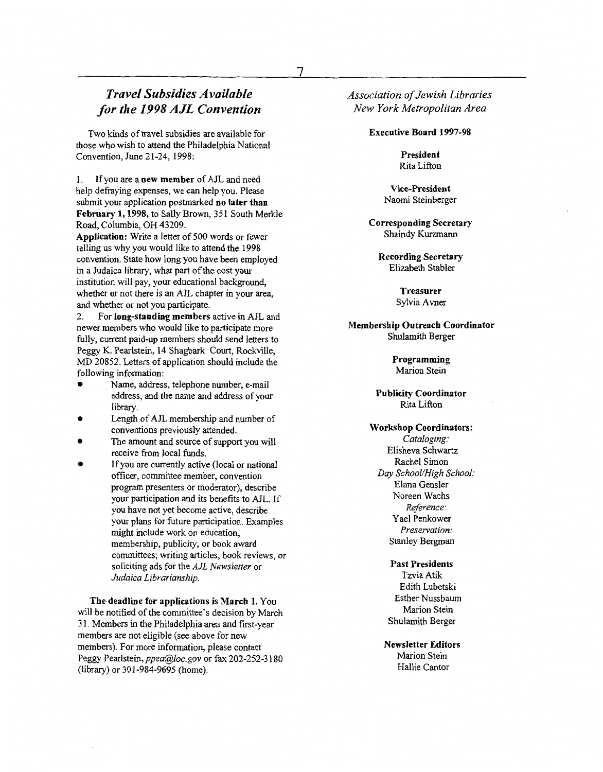### *Travel Subsidies AvaiIabIe for the 1998 AJL Convention*

Two kinds of travel subsidies are available for those who wish to attend the Philadelphia National Convention, June 21-24, 1998:

1. help defraying expenses, we *can* help you. Please submit your application postmarked **no later than February 1,1998, to** Sally Brown, 35 1 South Merkle Road, Columbia, OH 43209. If you are a **new member** of AJL and need

**Application:** Write a letter of 500 words or fewer telling us why you would like to attend the 1998 convention. State how long you have been employed in a Judaica library, what part of the cost your institution will pay, your educational background, whether or not there is an AJL chapter in your area, and whether or not you participate.

2. For **long-standing members** active **in** AJL and newer members who would like to participate more fully, current paid-up members should send letters to Peggy K. Pearlstein, 14 Shagbark Court, Rockville, MD 20852. Letters of application should include the following information:

- Name, address, telephone number, e-mail address, and the name and address of your library.
- Length of AJL membership and number of conventions previously attended.
- The amount and source of support you will receive from local **funds.**
- If you are currently active (local or national officer, committee member, convention program presenters or moderator), describe your participation and its benefits to AJL. If you have not yet become active, describe your plans for future participation. Examples might include work on education, membership, publicity, **or** book award committees; writing articles, book reviews, or soliciting ads for the *AJL Newsletter* or *Judaica Librariamhip.*

**The deadline for applications is March 1.** You will be notified of the committee's decision by March 3 1. Members in the Philadelphia area and frst-year members are not eligible (see above for new members). For more information, please contact Peggy Pearlstein, ppea@loc.gov or fax 202-252-3180 (library) or 301-984-9695 (home).

*Association of Jewish Libraries New York Metropolitan Area* 

#### **Executive Board 1997-98**

**President**  Rita Lifton

**Vice-president**  Naomi Steinberger

**Corresponding Secretary**  Shaindy Kurzmann

**Recording Secretary**  Elizabeth Stabler

> **Treasurer**  Sylvia Avner

### **Membership Outreach Coordinator**  Shulamith Berger

**Programming**  Marion Stein

**Publicity Coordinator**  Rita Lifton

**Workshop Coordinators:**  *Cataloging:*  Elisheva Schwartz Rachel Simon *Day SchooVHigh School:*  Elana Gensler Noreen Wachs *Reference:*  Yael Penkower *Preservation:*  Stanley Bergman

> **Past Presidents**  Tzvia Atik Edith Lubetski Esther Nussbaum Marion Stein Shulamith Berger

**Newsletter Editors**  Marion Stein Hallie Cantor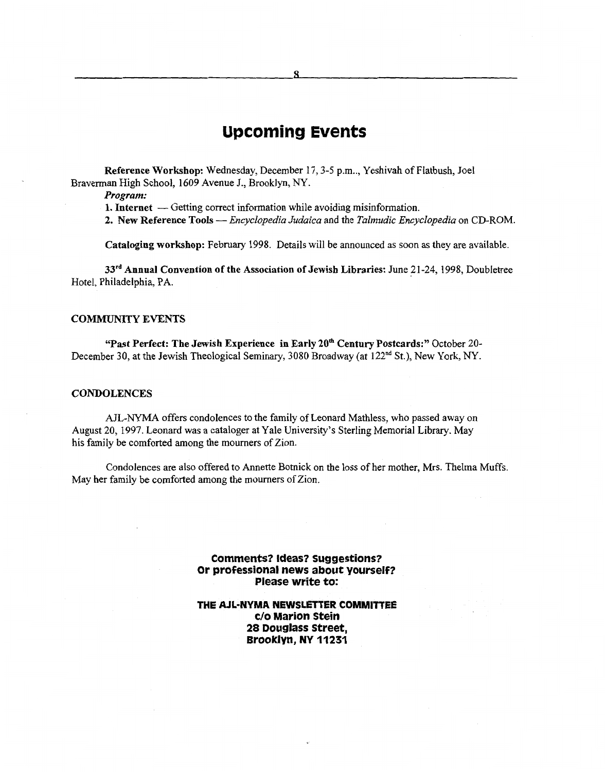### **Upcoming Events**

**Reference Workshop:** Wednesday, December 17,3-5 p.m.., Yeshivah of Flatbush, Joel Braverman High School, 1609 Avenue J., Brooklyn, *NY.* 

*Program:* 

**1. Internet** — Getting correct information while avoiding misinformation.

**2. New Reference Tools** *-Encyclopedia Judaica* and the *Talmudic Encyclopedia* on CD-ROM.

**Cataloging workshop:** February 1998. Details will be announced as soon **as** they are available.

**33rd Annual Convention of the Association of Jewish Libraries:** June **21-24,** 1998, Doubletree Hotel, Philadelphia, **PA.** 

### **COMMUNITY EVENTS**

**"Past Perfect: The Jewish Experience in Early 20\* Century Postcards:"** October 20- December **30,** at the Jewish Theological Seminary, 3080 Broadway (at **122nd** St.), New **York,** *NY.* 

### **CONDOLENCES**

**AJL-NYMA** offers condolences to the family of Leonard Mathless, who passed away on August 20, 1997. Leonard was a cataloger at Yale University's Sterling Memorial Library. **May**  his family be comforted among the mourners of Zion.

Condolences are also offered to Annette Botnick on the loss of her mother, Mrs. Thelma Muffs. May her family be comforted among the mourners of Zion.

> **Comments? Ideas? Suggestions? Or professional news about yourself? Please write to:**

### **THE AJL-NYMA NEWSLETTER COMMITTEE c/o Marion Stein 28 Douglass Street, Brooklyn, NY 11231**

*8*